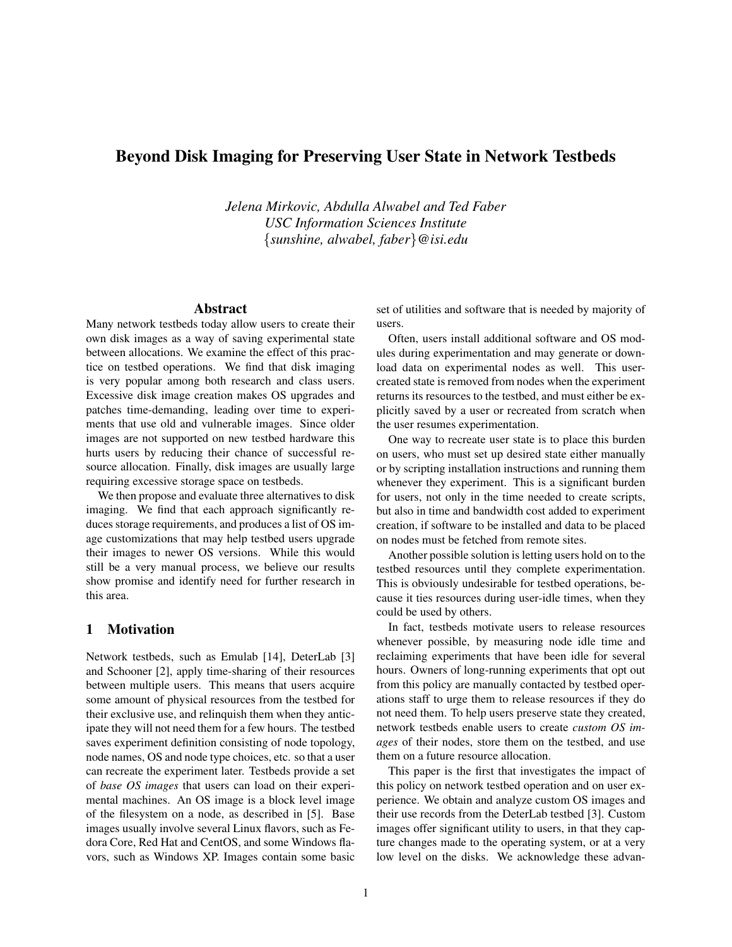# Beyond Disk Imaging for Preserving User State in Network Testbeds

*Jelena Mirkovic, Abdulla Alwabel and Ted Faber USC Information Sciences Institute* {*sunshine, alwabel, faber*}*@isi.edu*

#### Abstract

Many network testbeds today allow users to create their own disk images as a way of saving experimental state between allocations. We examine the effect of this practice on testbed operations. We find that disk imaging is very popular among both research and class users. Excessive disk image creation makes OS upgrades and patches time-demanding, leading over time to experiments that use old and vulnerable images. Since older images are not supported on new testbed hardware this hurts users by reducing their chance of successful resource allocation. Finally, disk images are usually large requiring excessive storage space on testbeds.

We then propose and evaluate three alternatives to disk imaging. We find that each approach significantly reduces storage requirements, and produces a list of OS image customizations that may help testbed users upgrade their images to newer OS versions. While this would still be a very manual process, we believe our results show promise and identify need for further research in this area.

#### 1 Motivation

Network testbeds, such as Emulab [14], DeterLab [3] and Schooner [2], apply time-sharing of their resources between multiple users. This means that users acquire some amount of physical resources from the testbed for their exclusive use, and relinquish them when they anticipate they will not need them for a few hours. The testbed saves experiment definition consisting of node topology, node names, OS and node type choices, etc. so that a user can recreate the experiment later. Testbeds provide a set of *base OS images* that users can load on their experimental machines. An OS image is a block level image of the filesystem on a node, as described in [5]. Base images usually involve several Linux flavors, such as Fedora Core, Red Hat and CentOS, and some Windows flavors, such as Windows XP. Images contain some basic set of utilities and software that is needed by majority of users.

Often, users install additional software and OS modules during experimentation and may generate or download data on experimental nodes as well. This usercreated state is removed from nodes when the experiment returns its resources to the testbed, and must either be explicitly saved by a user or recreated from scratch when the user resumes experimentation.

One way to recreate user state is to place this burden on users, who must set up desired state either manually or by scripting installation instructions and running them whenever they experiment. This is a significant burden for users, not only in the time needed to create scripts, but also in time and bandwidth cost added to experiment creation, if software to be installed and data to be placed on nodes must be fetched from remote sites.

Another possible solution is letting users hold on to the testbed resources until they complete experimentation. This is obviously undesirable for testbed operations, because it ties resources during user-idle times, when they could be used by others.

In fact, testbeds motivate users to release resources whenever possible, by measuring node idle time and reclaiming experiments that have been idle for several hours. Owners of long-running experiments that opt out from this policy are manually contacted by testbed operations staff to urge them to release resources if they do not need them. To help users preserve state they created, network testbeds enable users to create *custom OS images* of their nodes, store them on the testbed, and use them on a future resource allocation.

This paper is the first that investigates the impact of this policy on network testbed operation and on user experience. We obtain and analyze custom OS images and their use records from the DeterLab testbed [3]. Custom images offer significant utility to users, in that they capture changes made to the operating system, or at a very low level on the disks. We acknowledge these advan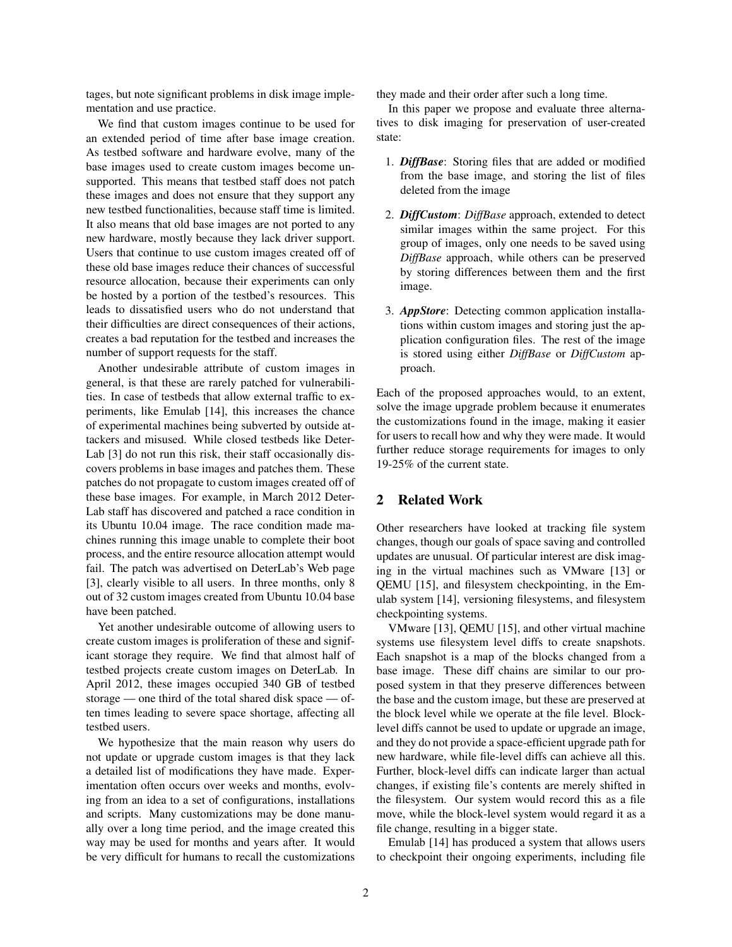tages, but note significant problems in disk image implementation and use practice.

We find that custom images continue to be used for an extended period of time after base image creation. As testbed software and hardware evolve, many of the base images used to create custom images become unsupported. This means that testbed staff does not patch these images and does not ensure that they support any new testbed functionalities, because staff time is limited. It also means that old base images are not ported to any new hardware, mostly because they lack driver support. Users that continue to use custom images created off of these old base images reduce their chances of successful resource allocation, because their experiments can only be hosted by a portion of the testbed's resources. This leads to dissatisfied users who do not understand that their difficulties are direct consequences of their actions, creates a bad reputation for the testbed and increases the number of support requests for the staff.

Another undesirable attribute of custom images in general, is that these are rarely patched for vulnerabilities. In case of testbeds that allow external traffic to experiments, like Emulab [14], this increases the chance of experimental machines being subverted by outside attackers and misused. While closed testbeds like Deter-Lab [3] do not run this risk, their staff occasionally discovers problems in base images and patches them. These patches do not propagate to custom images created off of these base images. For example, in March 2012 Deter-Lab staff has discovered and patched a race condition in its Ubuntu 10.04 image. The race condition made machines running this image unable to complete their boot process, and the entire resource allocation attempt would fail. The patch was advertised on DeterLab's Web page [3], clearly visible to all users. In three months, only 8 out of 32 custom images created from Ubuntu 10.04 base have been patched.

Yet another undesirable outcome of allowing users to create custom images is proliferation of these and significant storage they require. We find that almost half of testbed projects create custom images on DeterLab. In April 2012, these images occupied 340 GB of testbed storage — one third of the total shared disk space — often times leading to severe space shortage, affecting all testbed users.

We hypothesize that the main reason why users do not update or upgrade custom images is that they lack a detailed list of modifications they have made. Experimentation often occurs over weeks and months, evolving from an idea to a set of configurations, installations and scripts. Many customizations may be done manually over a long time period, and the image created this way may be used for months and years after. It would be very difficult for humans to recall the customizations they made and their order after such a long time.

In this paper we propose and evaluate three alternatives to disk imaging for preservation of user-created state:

- 1. *DiffBase*: Storing files that are added or modified from the base image, and storing the list of files deleted from the image
- 2. *DiffCustom*: *DiffBase* approach, extended to detect similar images within the same project. For this group of images, only one needs to be saved using *DiffBase* approach, while others can be preserved by storing differences between them and the first image.
- 3. *AppStore*: Detecting common application installations within custom images and storing just the application configuration files. The rest of the image is stored using either *DiffBase* or *DiffCustom* approach.

Each of the proposed approaches would, to an extent, solve the image upgrade problem because it enumerates the customizations found in the image, making it easier for users to recall how and why they were made. It would further reduce storage requirements for images to only 19-25% of the current state.

# 2 Related Work

Other researchers have looked at tracking file system changes, though our goals of space saving and controlled updates are unusual. Of particular interest are disk imaging in the virtual machines such as VMware [13] or QEMU [15], and filesystem checkpointing, in the Emulab system [14], versioning filesystems, and filesystem checkpointing systems.

VMware [13], QEMU [15], and other virtual machine systems use filesystem level diffs to create snapshots. Each snapshot is a map of the blocks changed from a base image. These diff chains are similar to our proposed system in that they preserve differences between the base and the custom image, but these are preserved at the block level while we operate at the file level. Blocklevel diffs cannot be used to update or upgrade an image, and they do not provide a space-efficient upgrade path for new hardware, while file-level diffs can achieve all this. Further, block-level diffs can indicate larger than actual changes, if existing file's contents are merely shifted in the filesystem. Our system would record this as a file move, while the block-level system would regard it as a file change, resulting in a bigger state.

Emulab [14] has produced a system that allows users to checkpoint their ongoing experiments, including file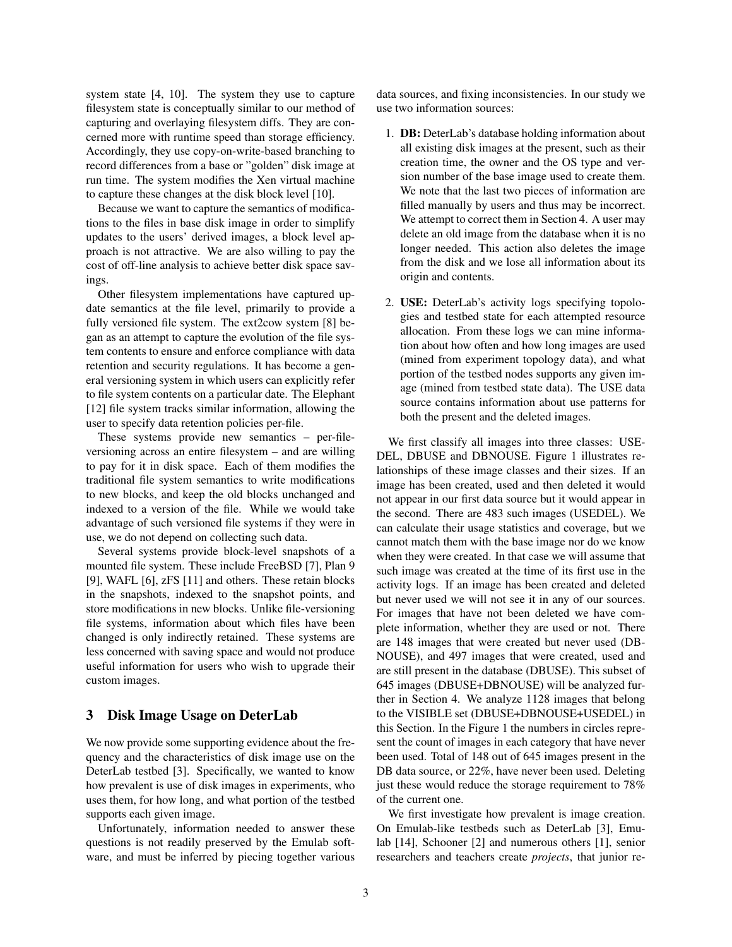system state [4, 10]. The system they use to capture filesystem state is conceptually similar to our method of capturing and overlaying filesystem diffs. They are concerned more with runtime speed than storage efficiency. Accordingly, they use copy-on-write-based branching to record differences from a base or "golden" disk image at run time. The system modifies the Xen virtual machine to capture these changes at the disk block level [10].

Because we want to capture the semantics of modifications to the files in base disk image in order to simplify updates to the users' derived images, a block level approach is not attractive. We are also willing to pay the cost of off-line analysis to achieve better disk space savings.

Other filesystem implementations have captured update semantics at the file level, primarily to provide a fully versioned file system. The ext2cow system [8] began as an attempt to capture the evolution of the file system contents to ensure and enforce compliance with data retention and security regulations. It has become a general versioning system in which users can explicitly refer to file system contents on a particular date. The Elephant [12] file system tracks similar information, allowing the user to specify data retention policies per-file.

These systems provide new semantics – per-fileversioning across an entire filesystem – and are willing to pay for it in disk space. Each of them modifies the traditional file system semantics to write modifications to new blocks, and keep the old blocks unchanged and indexed to a version of the file. While we would take advantage of such versioned file systems if they were in use, we do not depend on collecting such data.

Several systems provide block-level snapshots of a mounted file system. These include FreeBSD [7], Plan 9 [9], WAFL [6], zFS [11] and others. These retain blocks in the snapshots, indexed to the snapshot points, and store modifications in new blocks. Unlike file-versioning file systems, information about which files have been changed is only indirectly retained. These systems are less concerned with saving space and would not produce useful information for users who wish to upgrade their custom images.

### 3 Disk Image Usage on DeterLab

We now provide some supporting evidence about the frequency and the characteristics of disk image use on the DeterLab testbed [3]. Specifically, we wanted to know how prevalent is use of disk images in experiments, who uses them, for how long, and what portion of the testbed supports each given image.

Unfortunately, information needed to answer these questions is not readily preserved by the Emulab software, and must be inferred by piecing together various data sources, and fixing inconsistencies. In our study we use two information sources:

- 1. DB: DeterLab's database holding information about all existing disk images at the present, such as their creation time, the owner and the OS type and version number of the base image used to create them. We note that the last two pieces of information are filled manually by users and thus may be incorrect. We attempt to correct them in Section 4. A user may delete an old image from the database when it is no longer needed. This action also deletes the image from the disk and we lose all information about its origin and contents.
- 2. USE: DeterLab's activity logs specifying topologies and testbed state for each attempted resource allocation. From these logs we can mine information about how often and how long images are used (mined from experiment topology data), and what portion of the testbed nodes supports any given image (mined from testbed state data). The USE data source contains information about use patterns for both the present and the deleted images.

We first classify all images into three classes: USE-DEL, DBUSE and DBNOUSE. Figure 1 illustrates relationships of these image classes and their sizes. If an image has been created, used and then deleted it would not appear in our first data source but it would appear in the second. There are 483 such images (USEDEL). We can calculate their usage statistics and coverage, but we cannot match them with the base image nor do we know when they were created. In that case we will assume that such image was created at the time of its first use in the activity logs. If an image has been created and deleted but never used we will not see it in any of our sources. For images that have not been deleted we have complete information, whether they are used or not. There are 148 images that were created but never used (DB-NOUSE), and 497 images that were created, used and are still present in the database (DBUSE). This subset of 645 images (DBUSE+DBNOUSE) will be analyzed further in Section 4. We analyze 1128 images that belong to the VISIBLE set (DBUSE+DBNOUSE+USEDEL) in this Section. In the Figure 1 the numbers in circles represent the count of images in each category that have never been used. Total of 148 out of 645 images present in the DB data source, or 22%, have never been used. Deleting just these would reduce the storage requirement to 78% of the current one.

We first investigate how prevalent is image creation. On Emulab-like testbeds such as DeterLab [3], Emulab [14], Schooner [2] and numerous others [1], senior researchers and teachers create *projects*, that junior re-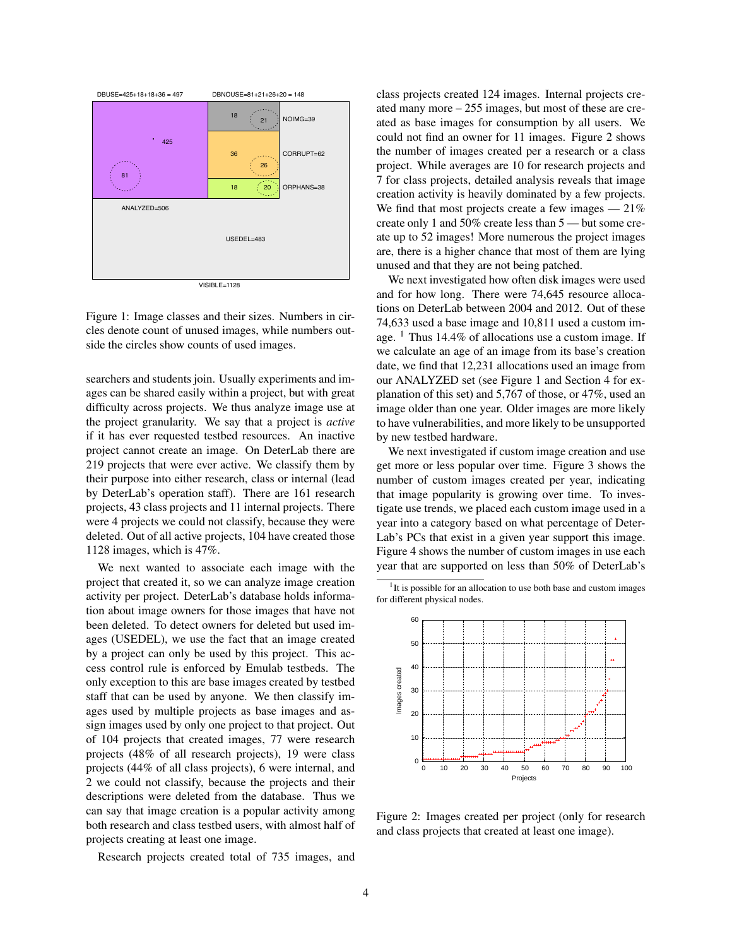

VISIBLE=1128

Figure 1: Image classes and their sizes. Numbers in circles denote count of unused images, while numbers outside the circles show counts of used images.

searchers and students join. Usually experiments and images can be shared easily within a project, but with great difficulty across projects. We thus analyze image use at the project granularity. We say that a project is *active* if it has ever requested testbed resources. An inactive project cannot create an image. On DeterLab there are 219 projects that were ever active. We classify them by their purpose into either research, class or internal (lead by DeterLab's operation staff). There are 161 research projects, 43 class projects and 11 internal projects. There were 4 projects we could not classify, because they were deleted. Out of all active projects, 104 have created those 1128 images, which is 47%.

We next wanted to associate each image with the project that created it, so we can analyze image creation activity per project. DeterLab's database holds information about image owners for those images that have not been deleted. To detect owners for deleted but used images (USEDEL), we use the fact that an image created by a project can only be used by this project. This access control rule is enforced by Emulab testbeds. The only exception to this are base images created by testbed staff that can be used by anyone. We then classify images used by multiple projects as base images and assign images used by only one project to that project. Out of 104 projects that created images, 77 were research projects (48% of all research projects), 19 were class projects (44% of all class projects), 6 were internal, and 2 we could not classify, because the projects and their descriptions were deleted from the database. Thus we can say that image creation is a popular activity among both research and class testbed users, with almost half of projects creating at least one image.

Research projects created total of 735 images, and

class projects created 124 images. Internal projects created many more – 255 images, but most of these are created as base images for consumption by all users. We could not find an owner for 11 images. Figure 2 shows the number of images created per a research or a class project. While averages are 10 for research projects and 7 for class projects, detailed analysis reveals that image creation activity is heavily dominated by a few projects. We find that most projects create a few images  $-21\%$ create only 1 and 50% create less than 5 — but some create up to 52 images! More numerous the project images are, there is a higher chance that most of them are lying unused and that they are not being patched.

We next investigated how often disk images were used and for how long. There were 74,645 resource allocations on DeterLab between 2004 and 2012. Out of these 74,633 used a base image and 10,811 used a custom image.  $<sup>1</sup>$  Thus 14.4% of allocations use a custom image. If</sup> we calculate an age of an image from its base's creation date, we find that 12,231 allocations used an image from our ANALYZED set (see Figure 1 and Section 4 for explanation of this set) and 5,767 of those, or 47%, used an image older than one year. Older images are more likely to have vulnerabilities, and more likely to be unsupported by new testbed hardware.

We next investigated if custom image creation and use get more or less popular over time. Figure 3 shows the number of custom images created per year, indicating that image popularity is growing over time. To investigate use trends, we placed each custom image used in a year into a category based on what percentage of Deter-Lab's PCs that exist in a given year support this image. Figure 4 shows the number of custom images in use each year that are supported on less than 50% of DeterLab's

<sup>1</sup>It is possible for an allocation to use both base and custom images for different physical nodes.



Figure 2: Images created per project (only for research and class projects that created at least one image).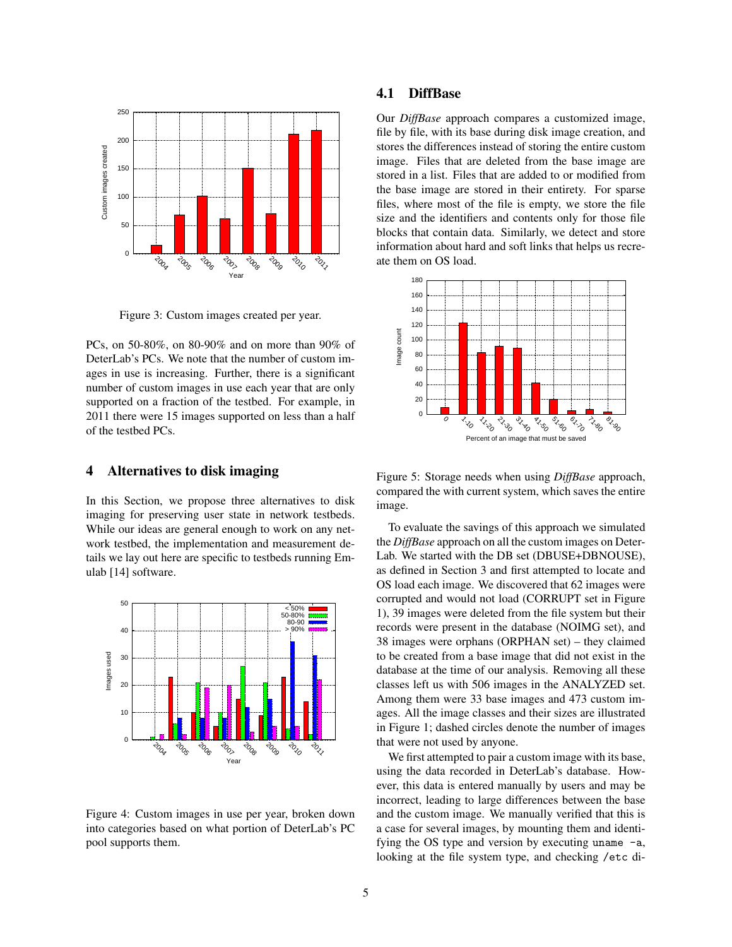

Figure 3: Custom images created per year.

PCs, on 50-80%, on 80-90% and on more than 90% of DeterLab's PCs. We note that the number of custom images in use is increasing. Further, there is a significant number of custom images in use each year that are only supported on a fraction of the testbed. For example, in 2011 there were 15 images supported on less than a half of the testbed PCs.

### 4 Alternatives to disk imaging

In this Section, we propose three alternatives to disk imaging for preserving user state in network testbeds. While our ideas are general enough to work on any network testbed, the implementation and measurement details we lay out here are specific to testbeds running Emulab [14] software.



Figure 4: Custom images in use per year, broken down into categories based on what portion of DeterLab's PC pool supports them.

# 4.1 DiffBase

Our *DiffBase* approach compares a customized image, file by file, with its base during disk image creation, and stores the differences instead of storing the entire custom image. Files that are deleted from the base image are stored in a list. Files that are added to or modified from the base image are stored in their entirety. For sparse files, where most of the file is empty, we store the file size and the identifiers and contents only for those file blocks that contain data. Similarly, we detect and store information about hard and soft links that helps us recreate them on OS load.



Figure 5: Storage needs when using *DiffBase* approach, compared the with current system, which saves the entire image.

To evaluate the savings of this approach we simulated the *DiffBase* approach on all the custom images on Deter-Lab. We started with the DB set (DBUSE+DBNOUSE), as defined in Section 3 and first attempted to locate and OS load each image. We discovered that 62 images were corrupted and would not load (CORRUPT set in Figure 1), 39 images were deleted from the file system but their records were present in the database (NOIMG set), and 38 images were orphans (ORPHAN set) – they claimed to be created from a base image that did not exist in the database at the time of our analysis. Removing all these classes left us with 506 images in the ANALYZED set. Among them were 33 base images and 473 custom images. All the image classes and their sizes are illustrated in Figure 1; dashed circles denote the number of images that were not used by anyone.

We first attempted to pair a custom image with its base, using the data recorded in DeterLab's database. However, this data is entered manually by users and may be incorrect, leading to large differences between the base and the custom image. We manually verified that this is a case for several images, by mounting them and identifying the OS type and version by executing uname -a, looking at the file system type, and checking /etc di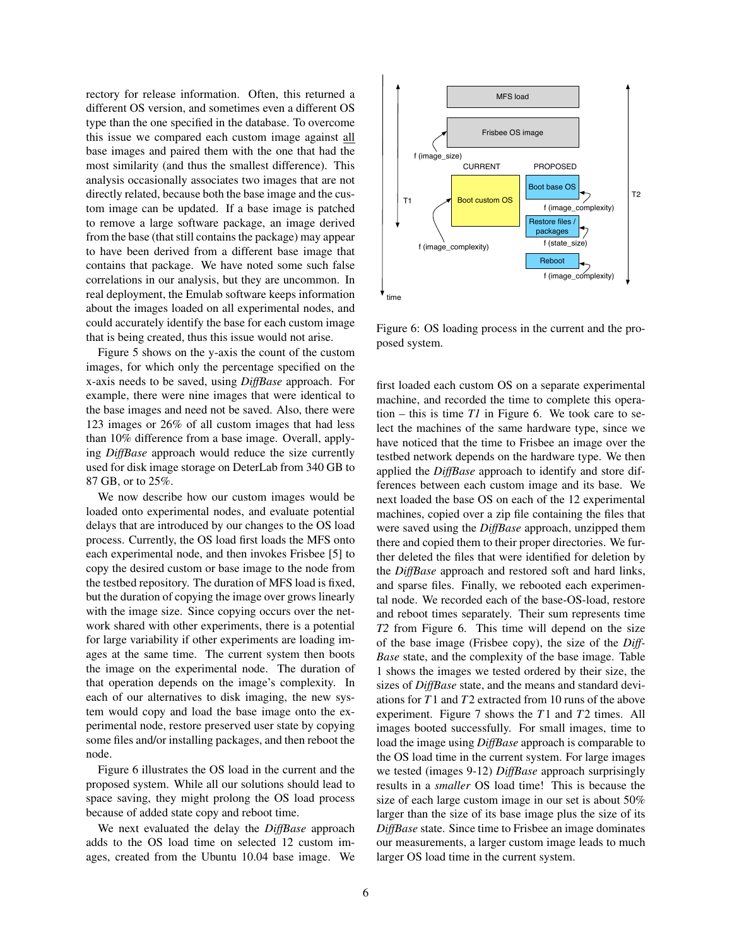rectory for release information. Often, this returned a different OS version, and sometimes even a different OS type than the one specified in the database. To overcome this issue we compared each custom image against all base images and paired them with the one that had the most similarity (and thus the smallest difference). This analysis occasionally associates two images that are not directly related, because both the base image and the custom image can be updated. If a base image is patched to remove a large software package, an image derived from the base (that still contains the package) may appear to have been derived from a different base image that contains that package. We have noted some such false correlations in our analysis, but they are uncommon. In real deployment, the Emulab software keeps information about the images loaded on all experimental nodes, and could accurately identify the base for each custom image that is being created, thus this issue would not arise.

Figure 5 shows on the y-axis the count of the custom images, for which only the percentage specified on the x-axis needs to be saved, using *DiffBase* approach. For example, there were nine images that were identical to the base images and need not be saved. Also, there were 123 images or 26% of all custom images that had less than 10% difference from a base image. Overall, applying *DiffBase* approach would reduce the size currently used for disk image storage on DeterLab from 340 GB to 87 GB, or to 25%.

We now describe how our custom images would be loaded onto experimental nodes, and evaluate potential delays that are introduced by our changes to the OS load process. Currently, the OS load first loads the MFS onto each experimental node, and then invokes Frisbee [5] to copy the desired custom or base image to the node from the testbed repository. The duration of MFS load is fixed, but the duration of copying the image over grows linearly with the image size. Since copying occurs over the network shared with other experiments, there is a potential for large variability if other experiments are loading images at the same time. The current system then boots the image on the experimental node. The duration of that operation depends on the image's complexity. In each of our alternatives to disk imaging, the new system would copy and load the base image onto the experimental node, restore preserved user state by copying some files and/or installing packages, and then reboot the node.

Figure 6 illustrates the OS load in the current and the proposed system. While all our solutions should lead to space saving, they might prolong the OS load process because of added state copy and reboot time.

We next evaluated the delay the *DiffBase* approach adds to the OS load time on selected 12 custom images, created from the Ubuntu 10.04 base image. We



Figure 6: OS loading process in the current and the proposed system.

first loaded each custom OS on a separate experimental machine, and recorded the time to complete this operation – this is time  $TI$  in Figure 6. We took care to select the machines of the same hardware type, since we have noticed that the time to Frisbee an image over the testbed network depends on the hardware type. We then applied the *DiffBase* approach to identify and store differences between each custom image and its base. We next loaded the base OS on each of the 12 experimental machines, copied over a zip file containing the files that were saved using the *DiffBase* approach, unzipped them there and copied them to their proper directories. We further deleted the files that were identified for deletion by the *DiffBase* approach and restored soft and hard links, and sparse files. Finally, we rebooted each experimental node. We recorded each of the base-OS-load, restore and reboot times separately. Their sum represents time *T2* from Figure 6. This time will depend on the size of the base image (Frisbee copy), the size of the *Diff-Base* state, and the complexity of the base image. Table 1 shows the images we tested ordered by their size, the sizes of *DiffBase* state, and the means and standard deviations for *T*1 and *T*2 extracted from 10 runs of the above experiment. Figure 7 shows the *T*1 and *T*2 times. All images booted successfully. For small images, time to load the image using *DiffBase* approach is comparable to the OS load time in the current system. For large images we tested (images 9-12) *DiffBase* approach surprisingly results in a *smaller* OS load time! This is because the size of each large custom image in our set is about 50% larger than the size of its base image plus the size of its *DiffBase* state. Since time to Frisbee an image dominates our measurements, a larger custom image leads to much larger OS load time in the current system.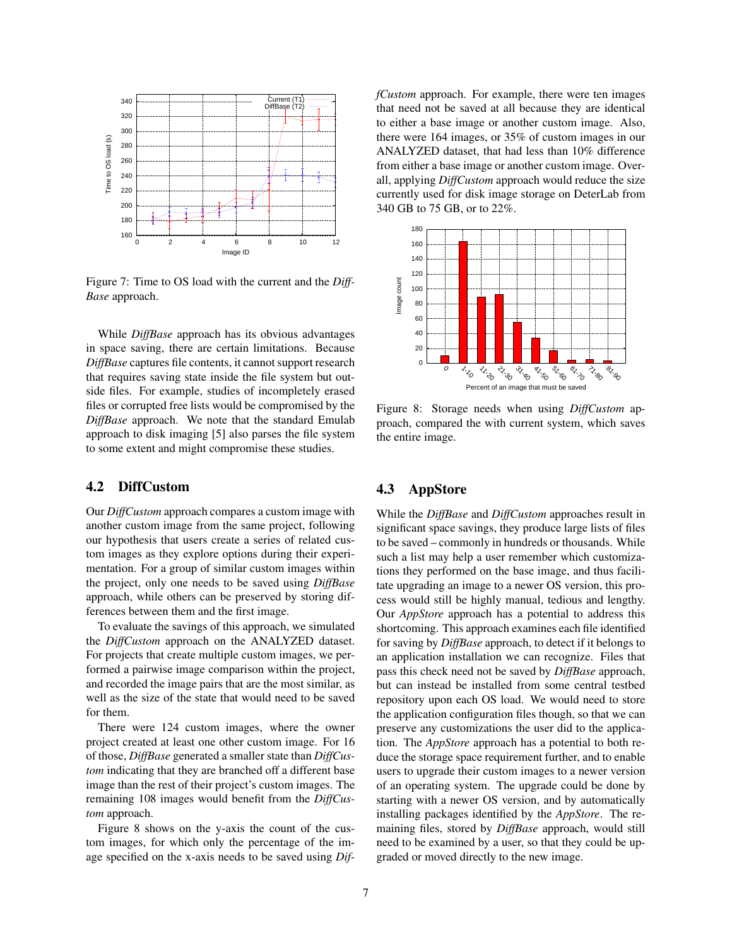

Figure 7: Time to OS load with the current and the *Diff-Base* approach.

While *DiffBase* approach has its obvious advantages in space saving, there are certain limitations. Because *DiffBase* captures file contents, it cannot support research that requires saving state inside the file system but outside files. For example, studies of incompletely erased files or corrupted free lists would be compromised by the *DiffBase* approach. We note that the standard Emulab approach to disk imaging [5] also parses the file system to some extent and might compromise these studies.

## 4.2 DiffCustom

Our *DiffCustom* approach compares a custom image with another custom image from the same project, following our hypothesis that users create a series of related custom images as they explore options during their experimentation. For a group of similar custom images within the project, only one needs to be saved using *DiffBase* approach, while others can be preserved by storing differences between them and the first image.

To evaluate the savings of this approach, we simulated the *DiffCustom* approach on the ANALYZED dataset. For projects that create multiple custom images, we performed a pairwise image comparison within the project, and recorded the image pairs that are the most similar, as well as the size of the state that would need to be saved for them.

There were 124 custom images, where the owner project created at least one other custom image. For 16 of those, *DiffBase* generated a smaller state than *DiffCustom* indicating that they are branched off a different base image than the rest of their project's custom images. The remaining 108 images would benefit from the *DiffCustom* approach.

Figure 8 shows on the y-axis the count of the custom images, for which only the percentage of the image specified on the x-axis needs to be saved using *Dif-* *fCustom* approach. For example, there were ten images that need not be saved at all because they are identical to either a base image or another custom image. Also, there were 164 images, or 35% of custom images in our ANALYZED dataset, that had less than 10% difference from either a base image or another custom image. Overall, applying *DiffCustom* approach would reduce the size currently used for disk image storage on DeterLab from 340 GB to 75 GB, or to 22%.



Figure 8: Storage needs when using *DiffCustom* approach, compared the with current system, which saves the entire image.

## 4.3 AppStore

While the *DiffBase* and *DiffCustom* approaches result in significant space savings, they produce large lists of files to be saved – commonly in hundreds or thousands. While such a list may help a user remember which customizations they performed on the base image, and thus facilitate upgrading an image to a newer OS version, this process would still be highly manual, tedious and lengthy. Our *AppStore* approach has a potential to address this shortcoming. This approach examines each file identified for saving by *DiffBase* approach, to detect if it belongs to an application installation we can recognize. Files that pass this check need not be saved by *DiffBase* approach, but can instead be installed from some central testbed repository upon each OS load. We would need to store the application configuration files though, so that we can preserve any customizations the user did to the application. The *AppStore* approach has a potential to both reduce the storage space requirement further, and to enable users to upgrade their custom images to a newer version of an operating system. The upgrade could be done by starting with a newer OS version, and by automatically installing packages identified by the *AppStore*. The remaining files, stored by *DiffBase* approach, would still need to be examined by a user, so that they could be upgraded or moved directly to the new image.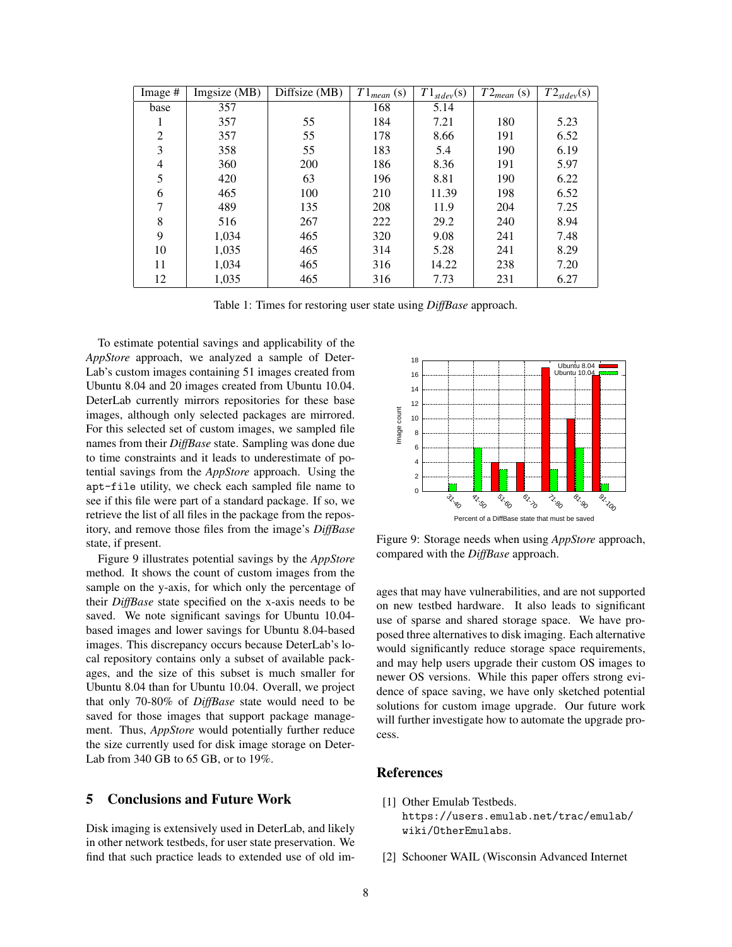| Image #        | Imgsize (MB) | Diffsize (MB) | $T1_{mean}$ (s) | $T1_{\text{stdev}}(s)$ | $T2_{mean}$ (s) | $T2_{\text{stdev}}(s)$ |
|----------------|--------------|---------------|-----------------|------------------------|-----------------|------------------------|
| base           | 357          |               | 168             | 5.14                   |                 |                        |
| 1              | 357          | 55            | 184             | 7.21                   | 180             | 5.23                   |
| $\overline{2}$ | 357          | 55            | 178             | 8.66                   | 191             | 6.52                   |
| 3              | 358          | 55            | 183             | 5.4                    | 190             | 6.19                   |
| 4              | 360          | 200           | 186             | 8.36                   | 191             | 5.97                   |
| 5              | 420          | 63            | 196             | 8.81                   | 190             | 6.22                   |
| 6              | 465          | 100           | 210             | 11.39                  | 198             | 6.52                   |
| 7              | 489          | 135           | 208             | 11.9                   | 204             | 7.25                   |
| 8              | 516          | 267           | 222             | 29.2                   | 240             | 8.94                   |
| 9              | 1,034        | 465           | 320             | 9.08                   | 241             | 7.48                   |
| 10             | 1,035        | 465           | 314             | 5.28                   | 241             | 8.29                   |
| 11             | 1,034        | 465           | 316             | 14.22                  | 238             | 7.20                   |
| 12             | 1,035        | 465           | 316             | 7.73                   | 231             | 6.27                   |

Table 1: Times for restoring user state using *DiffBase* approach.

To estimate potential savings and applicability of the *AppStore* approach, we analyzed a sample of Deter-Lab's custom images containing 51 images created from Ubuntu 8.04 and 20 images created from Ubuntu 10.04. DeterLab currently mirrors repositories for these base images, although only selected packages are mirrored. For this selected set of custom images, we sampled file names from their *DiffBase* state. Sampling was done due to time constraints and it leads to underestimate of potential savings from the *AppStore* approach. Using the apt-file utility, we check each sampled file name to see if this file were part of a standard package. If so, we retrieve the list of all files in the package from the repository, and remove those files from the image's *DiffBase* state, if present.

Figure 9 illustrates potential savings by the *AppStore* method. It shows the count of custom images from the sample on the y-axis, for which only the percentage of their *DiffBase* state specified on the x-axis needs to be saved. We note significant savings for Ubuntu 10.04 based images and lower savings for Ubuntu 8.04-based images. This discrepancy occurs because DeterLab's local repository contains only a subset of available packages, and the size of this subset is much smaller for Ubuntu 8.04 than for Ubuntu 10.04. Overall, we project that only 70-80% of *DiffBase* state would need to be saved for those images that support package management. Thus, *AppStore* would potentially further reduce the size currently used for disk image storage on Deter-Lab from 340 GB to 65 GB, or to 19%.

### 5 Conclusions and Future Work

Disk imaging is extensively used in DeterLab, and likely in other network testbeds, for user state preservation. We find that such practice leads to extended use of old im-



Figure 9: Storage needs when using *AppStore* approach, compared with the *DiffBase* approach.

ages that may have vulnerabilities, and are not supported on new testbed hardware. It also leads to significant use of sparse and shared storage space. We have proposed three alternatives to disk imaging. Each alternative would significantly reduce storage space requirements, and may help users upgrade their custom OS images to newer OS versions. While this paper offers strong evidence of space saving, we have only sketched potential solutions for custom image upgrade. Our future work will further investigate how to automate the upgrade process.

### References

- [1] Other Emulab Testbeds. https://users.emulab.net/trac/emulab/ wiki/OtherEmulabs.
- [2] Schooner WAIL (Wisconsin Advanced Internet